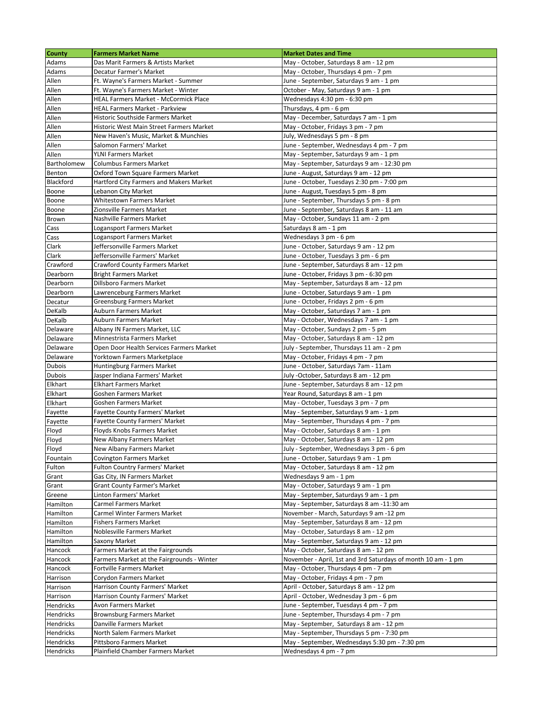| <b>County</b>  | <b>Farmers Market Name</b>                                    | <b>Market Dates and Time</b>                                                   |
|----------------|---------------------------------------------------------------|--------------------------------------------------------------------------------|
| Adams          | Das Marit Farmers & Artists Market                            | May - October, Saturdays 8 am - 12 pm                                          |
| Adams          | Decatur Farmer's Market                                       | May - October, Thursdays 4 pm - 7 pm                                           |
| Allen          | Ft. Wayne's Farmers Market - Summer                           | June - September, Saturdays 9 am - 1 pm                                        |
| Allen          | Ft. Wayne's Farmers Market - Winter                           | October - May, Saturdays 9 am - 1 pm                                           |
| Allen          | <b>HEAL Farmers Market - McCormick Place</b>                  | Wednesdays 4:30 pm - 6:30 pm                                                   |
| Allen          | <b>HEAL Farmers Market - Parkview</b>                         | Thursdays, 4 pm - 6 pm                                                         |
| Allen          | Historic Southside Farmers Market                             | May - December, Saturdays 7 am - 1 pm                                          |
| Allen          | Historic West Main Street Farmers Market                      | May - October, Fridays 3 pm - 7 pm                                             |
| Allen          | New Haven's Music, Market & Munchies                          | July, Wednesdays 5 pm - 8 pm                                                   |
| Allen          | Salomon Farmers' Market                                       | June - September, Wednesdays 4 pm - 7 pm                                       |
| Allen          | <b>YLNI Farmers Market</b>                                    | May - September, Saturdays 9 am - 1 pm                                         |
| Bartholomew    | <b>Columbus Farmers Market</b>                                | May - September, Saturdays 9 am - 12:30 pm                                     |
| Benton         | Oxford Town Square Farmers Market                             | June - August, Saturdays 9 am - 12 pm                                          |
| Blackford      | Hartford City Farmers and Makers Market                       | June - October, Tuesdays 2:30 pm - 7:00 pm                                     |
| Boone          | Lebanon City Market                                           | June - August, Tuesdays 5 pm - 8 pm                                            |
| Boone          | Whitestown Farmers Market                                     | June - September, Thursdays 5 pm - 8 pm                                        |
| Boone          | Zionsville Farmers Market                                     | June - September, Saturdays 8 am - 11 am                                       |
| Brown          | Nashville Farmers Market                                      | May - October, Sundays 11 am - 2 pm                                            |
| Cass           | Logansport Farmers Market<br>Logansport Farmers Market        | Saturdays 8 am - 1 pm                                                          |
| Cass<br>Clark  | Jeffersonville Farmers Market                                 | Wednesdays 3 pm - 6 pm<br>June - October, Saturdays 9 am - 12 pm               |
| Clark          | Jeffersonville Farmers' Market                                | June - October, Tuesdays 3 pm - 6 pm                                           |
| Crawford       | <b>Crawford County Farmers Market</b>                         | June - September, Saturdays 8 am - 12 pm                                       |
| Dearborn       | <b>Bright Farmers Market</b>                                  | June - October, Fridays 3 pm - 6:30 pm                                         |
| Dearborn       | Dillsboro Farmers Market                                      | May - September, Saturdays 8 am - 12 pm                                        |
| Dearborn       | Lawrenceburg Farmers Market                                   | June - October, Saturdays 9 am - 1 pm                                          |
| Decatur        | Greensburg Farmers Market                                     | June - October, Fridays 2 pm - 6 pm                                            |
| DeKalb         | Auburn Farmers Market                                         | May - October, Saturdays 7 am - 1 pm                                           |
| DeKalb         | Auburn Farmers Market                                         | May - October, Wednesdays 7 am - 1 pm                                          |
| Delaware       | Albany IN Farmers Market, LLC                                 | May - October, Sundays 2 pm - 5 pm                                             |
| Delaware       | Minnestrista Farmers Market                                   | May - October, Saturdays 8 am - 12 pm                                          |
| Delaware       | Open Door Health Services Farmers Market                      | July - September, Thursdays 11 am - 2 pm                                       |
| Delaware       | Yorktown Farmers Marketplace                                  | May - October, Fridays 4 pm - 7 pm                                             |
| <b>Dubois</b>  | Huntingburg Farmers Market                                    | June - October, Saturdays 7am - 11am                                           |
| <b>Dubois</b>  | Jasper Indiana Farmers' Market                                | July -October, Saturdays 8 am - 12 pm                                          |
| Elkhart        | <b>Elkhart Farmers Market</b>                                 | June - September, Saturdays 8 am - 12 pm                                       |
| Elkhart        | Goshen Farmers Market                                         | Year Round, Saturdays 8 am - 1 pm                                              |
| Elkhart        | <b>Goshen Farmers Market</b>                                  | May - October, Tuesdays 3 pm - 7 pm                                            |
| Fayette        | <b>Fayette County Farmers' Market</b>                         | May - September, Saturdays 9 am - 1 pm                                         |
| Fayette        | <b>Fayette County Farmers' Market</b>                         | May - September, Thursdays 4 pm - 7 pm                                         |
| Floyd          | Floyds Knobs Farmers Market                                   | May - October, Saturdays 8 am - 1 pm                                           |
| Floyd          | New Albany Farmers Market                                     | May - October, Saturdays 8 am - 12 pm                                          |
| Floyd          | New Albany Farmers Market                                     | July - September, Wednesdays 3 pm - 6 pm                                       |
| Fountain       | Covington Farmers Market                                      | June - October, Saturdays 9 am - 1 pm                                          |
| Fulton         | <b>Fulton Country Farmers' Market</b>                         | May - October, Saturdays 8 am - 12 pm<br>Wednesdays 9 am - 1 pm                |
| Grant<br>Grant | Gas City, IN Farmers Market                                   |                                                                                |
| Greene         | <b>Grant County Farmer's Market</b><br>Linton Farmers' Market | May - October, Saturdays 9 am - 1 pm<br>May - September, Saturdays 9 am - 1 pm |
| Hamilton       | Carmel Farmers Market                                         | May - September, Saturdays 8 am -11:30 am                                      |
| Hamilton       | Carmel Winter Farmers Market                                  | November - March, Saturdays 9 am -12 pm                                        |
| Hamilton       | <b>Fishers Farmers Market</b>                                 | May - September, Saturdays 8 am - 12 pm                                        |
| Hamilton       | Noblesville Farmers Market                                    | May - October, Saturdays 8 am - 12 pm                                          |
| Hamilton       | Saxony Market                                                 | May - September, Saturdays 9 am - 12 pm                                        |
| Hancock        | Farmers Market at the Fairgrounds                             | May - October, Saturdays 8 am - 12 pm                                          |
| Hancock        | Farmers Market at the Fairgrounds - Winter                    | November - April, 1st and 3rd Saturdays of month 10 am - 1 pm                  |
| Hancock        | Fortville Farmers Market                                      | May - October, Thursdays 4 pm - 7 pm                                           |
| Harrison       | Corydon Farmers Market                                        | May - October, Fridays 4 pm - 7 pm                                             |
| Harrison       | Harrison County Farmers' Market                               | April - October, Saturdays 8 am - 12 pm                                        |
| Harrison       | Harrison County Farmers' Market                               | April - October, Wednesday 3 pm - 6 pm                                         |
| Hendricks      | Avon Farmers Market                                           | June - September, Tuesdays 4 pm - 7 pm                                         |
| Hendricks      | <b>Brownsburg Farmers Market</b>                              | June - September, Thursdays 4 pm - 7 pm                                        |
| Hendricks      | Danville Farmers Market                                       | May - September, Saturdays 8 am - 12 pm                                        |
| Hendricks      | North Salem Farmers Market                                    | May - September, Thursdays 5 pm - 7:30 pm                                      |
| Hendricks      | Pittsboro Farmers Market                                      | May - September, Wednesdays 5:30 pm - 7:30 pm                                  |
| Hendricks      | Plainfield Chamber Farmers Market                             | Wednesdays 4 pm - 7 pm                                                         |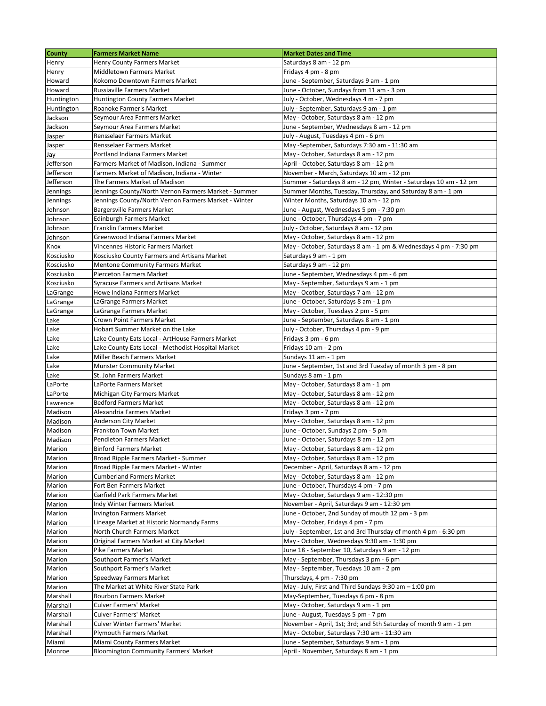| <b>County</b>                             | <b>Farmers Market Name</b>                                    | <b>Market Dates and Time</b>                                                           |
|-------------------------------------------|---------------------------------------------------------------|----------------------------------------------------------------------------------------|
| Henry                                     | <b>Henry County Farmers Market</b>                            | Saturdays 8 am - 12 pm                                                                 |
| Henry                                     | Middletown Farmers Market                                     | Fridays 4 pm - 8 pm                                                                    |
| Howard                                    | Kokomo Downtown Farmers Market                                | June - September, Saturdays 9 am - 1 pm                                                |
| Howard                                    | <b>Russiaville Farmers Market</b>                             | June - October, Sundays from 11 am - 3 pm                                              |
| Huntington                                | Huntington County Farmers Market                              | July - October, Wednesdays 4 m - 7 pm                                                  |
| Huntington                                | Roanoke Farmer's Market                                       | July - September, Saturdays 9 am - 1 pm                                                |
| Jackson                                   | Seymour Area Farmers Market                                   | May - October, Saturdays 8 am - 12 pm                                                  |
| Jackson                                   | Seymour Area Farmers Market                                   | June - September, Wednesdays 8 am - 12 pm                                              |
| Jasper                                    | Rensselaer Farmers Market                                     | July - August, Tuesdays 4 pm - 6 pm                                                    |
| Jasper                                    | Rensselaer Farmers Market                                     | May -September, Saturdays 7:30 am - 11:30 am                                           |
| Jay                                       | Portland Indiana Farmers Market                               | May - October, Saturdays 8 am - 12 pm                                                  |
| Jefferson                                 | Farmers Market of Madison, Indiana - Summer                   | April - October, Saturdays 8 am - 12 pm                                                |
| Jefferson                                 | Farmers Market of Madison, Indiana - Winter                   | November - March, Saturdays 10 am - 12 pm                                              |
| Jefferson                                 | The Farmers Market of Madison                                 | Summer - Saturdays 8 am - 12 pm, Winter - Saturdays 10 am - 12 pm                      |
| Jennings                                  | Jennings County/North Vernon Farmers Market - Summer          | Summer Months, Tuesday, Thursday, and Saturday 8 am - 1 pm                             |
| Jennings                                  | Jennings County/North Vernon Farmers Market - Winter          | Winter Months, Saturdays 10 am - 12 pm                                                 |
| Johnson                                   | Bargersville Farmers Market                                   | June - August, Wednesdays 5 pm - 7:30 pm                                               |
| Johnson                                   | <b>Edinburgh Farmers Market</b>                               | June - October, Thursdays 4 pm - 7 pm                                                  |
| Johnson                                   | Franklin Farmers Market                                       | July - October, Saturdays 8 am - 12 pm                                                 |
| Johnson                                   | Greenwood Indiana Farmers Market                              | May - October, Saturdays 8 am - 12 pm                                                  |
| Knox                                      | Vincennes Historic Farmers Market                             | May - October, Saturdays 8 am - 1 pm & Wednesdays 4 pm - 7:30 pm                       |
| Kosciusko                                 | Kosciusko County Farmers and Artisans Market                  | Saturdays 9 am - 1 pm                                                                  |
| Kosciusko                                 | <b>Mentone Community Farmers Market</b>                       | Saturdays 9 am - 12 pm                                                                 |
| Kosciusko                                 | <b>Pierceton Farmers Market</b>                               | June - September, Wednesdays 4 pm - 6 pm                                               |
| Kosciusko                                 | <b>Syracuse Farmers and Artisans Market</b>                   | May - September, Saturdays 9 am - 1 pm                                                 |
| LaGrange                                  | Howe Indiana Farmers Market                                   | May - Ocotber, Saturdays 7 am - 12 pm                                                  |
| LaGrange                                  | LaGrange Farmers Market                                       | June - October, Saturdays 8 am - 1 pm                                                  |
| LaGrange                                  | LaGrange Farmers Market                                       | May - October, Tuesdays 2 pm - 5 pm                                                    |
|                                           | Crown Point Farmers Market                                    | June - September, Saturdays 8 am - 1 pm                                                |
| Lake                                      | Hobart Summer Market on the Lake                              |                                                                                        |
| Lake                                      |                                                               | July - October, Thursdays 4 pm - 9 pm                                                  |
| Lake                                      | Lake County Eats Local - ArtHouse Farmers Market              | Fridays 3 pm - 6 pm                                                                    |
| Lake                                      | Lake County Eats Local - Methodist Hospital Market            | Fridays 10 am - 2 pm                                                                   |
| Lake                                      | Miller Beach Farmers Market                                   | Sundays 11 am - 1 pm                                                                   |
| Lake                                      | <b>Munster Community Market</b>                               | June - September, 1st and 3rd Tuesday of month 3 pm - 8 pm                             |
| Lake                                      | St. John Farmers Market                                       | Sundays 8 am - 1 pm                                                                    |
| LaPorte                                   | LaPorte Farmers Market                                        | May - October, Saturdays 8 am - 1 pm                                                   |
| LaPorte                                   | Michigan City Farmers Market                                  | May - October, Saturdays 8 am - 12 pm                                                  |
| Lawrence                                  | <b>Bedford Farmers Market</b>                                 | May - October, Saturdays 8 am - 12 pm                                                  |
| Madison                                   | Alexandria Farmers Market                                     | Fridays 3 pm - 7 pm                                                                    |
| Madison                                   | Anderson City Market                                          | May - October, Saturdays 8 am - 12 pm                                                  |
| Madison                                   | Frankton Town Market                                          | June - October, Sundays 2 pm - 5 pm                                                    |
| Madison                                   | Pendleton Farmers Market                                      | June - October, Saturdays 8 am - 12 pm                                                 |
| Marion                                    | <b>Binford Farmers Market</b>                                 | May - October, Saturdays 8 am - 12 pm                                                  |
| Marion                                    | Broad Ripple Farmers Market - Summer                          | May - October, Saturdays 8 am - 12 pm                                                  |
| Marion                                    | Broad Ripple Farmers Market - Winter                          | December - April, Saturdays 8 am - 12 pm                                               |
| Marion                                    | <b>Cumberland Farmers Market</b>                              | May - October, Saturdays 8 am - 12 pm                                                  |
| Marion                                    | Fort Ben Farmers Market                                       | June - October, Thursdays 4 pm - 7 pm                                                  |
| Marion                                    | Garfield Park Farmers Market                                  | May - October, Saturdays 9 am - 12:30 pm                                               |
| Marion                                    | Indy Winter Farmers Market                                    | November - April, Saturdays 9 am - 12:30 pm                                            |
| Marion                                    | Irvington Farmers Market                                      | June - October, 2nd Sunday of mouth 12 pm - 3 pm                                       |
| Marion                                    | Lineage Market at Historic Normandy Farms                     | May - October, Fridays 4 pm - 7 pm                                                     |
| Marion                                    | North Church Farmers Market                                   | July - September, 1st and 3rd Thursday of month 4 pm - 6:30 pm                         |
| Marion                                    | Original Farmers Market at City Market                        | May - October, Wednesdays 9:30 am - 1:30 pm                                            |
| Marion                                    | Pike Farmers Market                                           | June 18 - September 10, Saturdays 9 am - 12 pm                                         |
| Marion                                    | Southport Farmer's Market                                     | May - September, Thursdays 3 pm - 6 pm                                                 |
| Marion                                    | Southport Farmer's Market                                     | May - September, Tuesdays 10 am - 2 pm                                                 |
| Marion                                    | Speedway Farmers Market                                       | Thursdays, 4 pm - 7:30 pm                                                              |
| Marion                                    | The Market at White River State Park                          | May - July, First and Third Sundays 9:30 am $-$ 1:00 pm                                |
| Marshall                                  | Bourbon Farmers Market                                        | May-September, Tuesdays 6 pm - 8 pm                                                    |
| Marshall                                  | <b>Culver Farmers' Market</b>                                 | May - October, Saturdays 9 am - 1 pm                                                   |
|                                           | <b>Culver Farmers' Market</b>                                 | June - August, Tuesdays 5 pm - 7 pm                                                    |
|                                           |                                                               |                                                                                        |
|                                           |                                                               |                                                                                        |
|                                           | Culver Winter Farmers' Market                                 | November - April, 1st; 3rd; and 5th Saturday of month 9 am - 1 pm                      |
| Marshall<br>Marshall<br>Marshall<br>Miami | <b>Plymouth Farmers Market</b><br>Miami County Farmers Market | May - October, Saturdays 7:30 am - 11:30 am<br>June - September, Saturdays 9 am - 1 pm |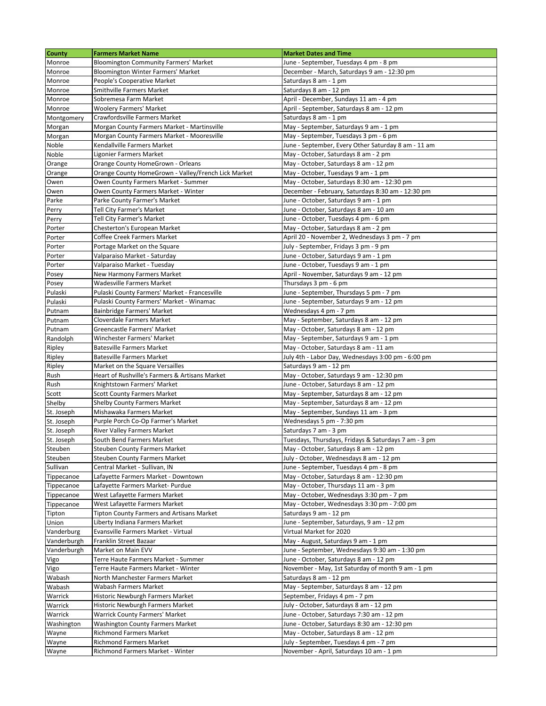| <b>County</b>         | <b>Farmers Market Name</b>                                        | <b>Market Dates and Time</b>                                                                  |
|-----------------------|-------------------------------------------------------------------|-----------------------------------------------------------------------------------------------|
| Monroe                | <b>Bloomington Community Farmers' Market</b>                      | June - September, Tuesdays 4 pm - 8 pm                                                        |
| Monroe                | Bloomington Winter Farmers' Market                                | December - March, Saturdays 9 am - 12:30 pm                                                   |
| Monroe                | People's Cooperative Market                                       | Saturdays 8 am - 1 pm                                                                         |
| Monroe                | Smithville Farmers Market                                         | Saturdays 8 am - 12 pm                                                                        |
| Monroe                | Sobremesa Farm Market                                             | April - December, Sundays 11 am - 4 pm                                                        |
| Monroe                | <b>Woolery Farmers' Market</b>                                    | April - September, Saturdays 8 am - 12 pm                                                     |
| Montgomery            | Crawfordsville Farmers Market                                     | Saturdays 8 am - 1 pm                                                                         |
| Morgan                | Morgan County Farmers Market - Martinsville                       | May - September, Saturdays 9 am - 1 pm                                                        |
| Morgan                | Morgan County Farmers Market - Mooresville                        | May - September, Tuesdays 3 pm - 6 pm                                                         |
| Noble                 | Kendallville Farmers Market                                       | June - September, Every Other Saturday 8 am - 11 am                                           |
| Noble                 | Ligonier Farmers Market                                           | May - October, Saturdays 8 am - 2 pm                                                          |
| Orange                | Orange County HomeGrown - Orleans                                 | May - October, Saturdays 8 am - 12 pm                                                         |
| Orange                | Orange County HomeGrown - Valley/French Lick Market               | May - October, Tuesdays 9 am - 1 pm                                                           |
| Owen                  | Owen County Farmers Market - Summer                               | May - October, Saturdays 8:30 am - 12:30 pm                                                   |
| Owen                  | Owen County Farmers Market - Winter                               | December - February, Saturdays 8:30 am - 12:30 pm                                             |
| Parke                 | Parke County Farmer's Market                                      | June - October, Saturdays 9 am - 1 pm                                                         |
| Perry                 | Tell City Farmer's Market<br>Tell City Farmer's Market            | June - October, Saturdays 8 am - 10 am<br>June - October, Tuesdays 4 pm - 6 pm                |
| Perry<br>Porter       | Chesterton's European Market                                      | May - October, Saturdays 8 am - 2 pm                                                          |
| Porter                | Coffee Creek Farmers Market                                       | April 20 - November 2, Wednesdays 3 pm - 7 pm                                                 |
| Porter                | Portage Market on the Square                                      | July - September, Fridays 3 pm - 9 pm                                                         |
| Porter                | Valparaiso Market - Saturday                                      | June - October, Saturdays 9 am - 1 pm                                                         |
| Porter                | Valparaiso Market - Tuesday                                       | June - October, Tuesdays 9 am - 1 pm                                                          |
| Posey                 | New Harmony Farmers Market                                        | April - November, Saturdays 9 am - 12 pm                                                      |
| Posey                 | Wadesville Farmers Market                                         | Thursdays 3 pm - 6 pm                                                                         |
| Pulaski               | Pulaski County Farmers' Market - Francesville                     | June - September, Thursdays 5 pm - 7 pm                                                       |
| Pulaski               | Pulaski County Farmers' Market - Winamac                          | June - September, Saturdays 9 am - 12 pm                                                      |
| Putnam                | Bainbridge Farmers' Market                                        | Wednesdays 4 pm - 7 pm                                                                        |
| Putnam                | Cloverdale Farmers Market                                         | May - September, Saturdays 8 am - 12 pm                                                       |
| Putnam                | Greencastle Farmers' Market                                       | May - October, Saturdays 8 am - 12 pm                                                         |
| Randolph              | Winchester Farmers' Market                                        | May - September, Saturdays 9 am - 1 pm                                                        |
| Ripley                | <b>Batesville Farmers Market</b>                                  | May - October, Saturdays 8 am - 11 am                                                         |
| Ripley                | <b>Batesville Farmers Market</b>                                  | July 4th - Labor Day, Wednesdays 3:00 pm - 6:00 pm                                            |
| Ripley                | Market on the Square Versailles                                   | Saturdays 9 am - 12 pm                                                                        |
| Rush                  | Heart of Rushville's Farmers & Artisans Market                    | May - October, Saturdays 9 am - 12:30 pm                                                      |
| Rush                  | Knightstown Farmers' Market                                       | June - October, Saturdays 8 am - 12 pm                                                        |
| Scott                 | <b>Scott County Farmers Market</b>                                | May - September, Saturdays 8 am - 12 pm                                                       |
| Shelby                | <b>Shelby County Farmers Market</b>                               | May - September, Saturdays 8 am - 12 pm                                                       |
| St. Joseph            | Mishawaka Farmers Market                                          | May - September, Sundays 11 am - 3 pm                                                         |
| St. Joseph            | Purple Porch Co-Op Farmer's Market                                | Wednesdays 5 pm - 7:30 pm                                                                     |
| St. Joseph            | River Valley Farmers Market                                       | Saturdays 7 am - 3 pm                                                                         |
| St. Joseph<br>Steuben | South Bend Farmers Market<br><b>Steuben County Farmers Market</b> | Tuesdays, Thursdays, Fridays & Saturdays 7 am - 3 pm<br>May - October, Saturdays 8 am - 12 pm |
| Steuben               | <b>Steuben County Farmers Market</b>                              | July - October, Wednesdays 8 am - 12 pm                                                       |
| Sullivan              | Central Market - Sullivan, IN                                     | June - September, Tuesdays 4 pm - 8 pm                                                        |
| Tippecanoe            | Lafayette Farmers Market - Downtown                               | May - October, Saturdays 8 am - 12:30 pm                                                      |
| Tippecanoe            | Lafayette Farmers Market- Purdue                                  | May - October, Thursdays 11 am - 3 pm                                                         |
| Tippecanoe            | West Lafayette Farmers Market                                     | May - October, Wednesdays 3:30 pm - 7 pm                                                      |
| Tippecanoe            | West Lafayette Farmers Market                                     | May - October, Wednesdays 3:30 pm - 7:00 pm                                                   |
| Tipton                | Tipton County Farmers and Artisans Market                         | Saturdays 9 am - 12 pm                                                                        |
| Union                 | Liberty Indiana Farmers Market                                    | June - September, Saturdays, 9 am - 12 pm                                                     |
| Vanderburg            | Evansville Farmers Market - Virtual                               | Virtual Market for 2020                                                                       |
| Vanderburgh           | Franklin Street Bazaar                                            | May - August, Saturdays 9 am - 1 pm                                                           |
| Vanderburgh           | Market on Main EVV                                                | June - September, Wednesdays 9:30 am - 1:30 pm                                                |
| Vigo                  | Terre Haute Farmers Market - Summer                               | June - October, Saturdays 8 am - 12 pm                                                        |
| Vigo                  | Terre Haute Farmers Market - Winter                               | November - May, 1st Saturday of month 9 am - 1 pm                                             |
| Wabash                | North Manchester Farmers Market                                   | Saturdays 8 am - 12 pm                                                                        |
| Wabash                | Wabash Farmers Market                                             | May - September, Saturdays 8 am - 12 pm                                                       |
| Warrick               | Historic Newburgh Farmers Market                                  | September, Fridays 4 pm - 7 pm                                                                |
| Warrick               | Historic Newburgh Farmers Market                                  | July - October, Saturdays 8 am - 12 pm                                                        |
| Warrick               | Warrick County Farmers' Market                                    | June - October, Saturdays 7:30 am - 12 pm                                                     |
| Washington            | <b>Washington County Farmers Market</b>                           | June - October, Saturdays 8:30 am - 12:30 pm                                                  |
| Wayne                 | <b>Richmond Farmers Market</b>                                    | May - October, Saturdays 8 am - 12 pm                                                         |
| Wayne                 | <b>Richmond Farmers Market</b>                                    | July - September, Tuesdays 4 pm - 7 pm                                                        |
| Wayne                 | Richmond Farmers Market - Winter                                  | November - April, Saturdays 10 am - 1 pm                                                      |